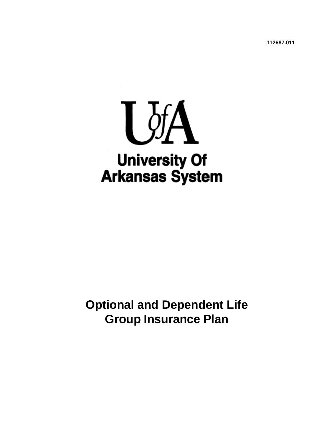**112687.011**



**Optional and Dependent Life Group Insurance Plan**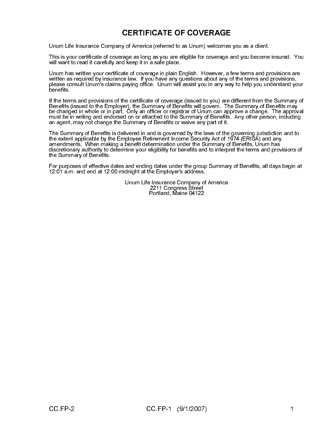# **CERTIFICATE OF COVERAGE**

Unum Life Insurance Company of America (referred to as Unum) welcomes you as a client.

This is your certificate of coverage as long as you are eligible for coverage and you become insured. You will want to read it carefully and keep it in a safe place.

Unum has written your certificate of coverage in plain English. However, a few terms and provisions are written as required by insurance law. If you have any questions about any of the terms and provisions, please consult Unum's claims paying office. Unum will assist you in any way to help you understand your benefits.

y of America (referred to as Unum) welcomes<br>rage as long as you are eligible for coverage a<br>d keep it in a safe place.<br>the of coverage in plain English. However, a fe<br>leaw. If you have any questions about any o'<br>leap ing o If the terms and provisions of the certificate of coverage (issued to you) are different from the Summary of Benefits (issued to the Employer), the Summary of Benefits will govern. The Summary of Benefits may be changed in whole or in part. Only an officer or registrar of Unum can approve a change. The approval must be in writing and endorsed on or attached to the Summary of Benefits. Any other person, including an agent, may not change the Summary of Benefits or waive any part of it.

The Summary of Benefits is delivered in and is governed by the laws of the governing jurisdiction and to the extent applicable by the Employee Retirement Income Security Act of 1974 (ERISA) and any amendments. When making a benefit determination under the Summary of Benefits, Unum has discretionary authority to determine your eligibility for benefits and to interpret the terms and provisions of the Summary of Benefits.

For purposes of effective dates and ending dates under the group Summary of Benefits, all days begin at 12:01 a.m. and end at 12:00 midnight at the Employer's address.

> Unum Life Insurance Company of America 2211 Congress Street Portland, Maine 04122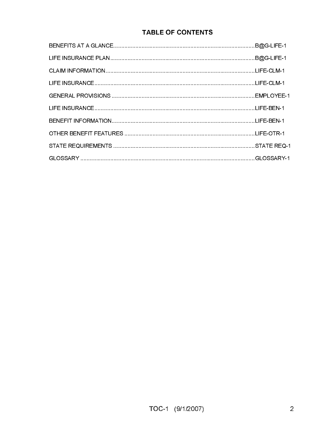# **TABLE OF CONTENTS**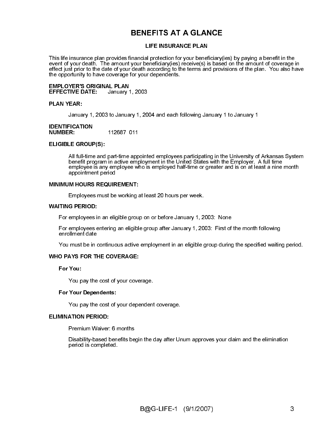# **BENEFITS AT A GLANCE**

LIFE INSURANCE PLAN<br>
inancial protection for your beneficiary<br>
your beneficiary(les) leceive(s) is base<br>
death according to the terms and providents.<br>
1, 2003<br>
1, 2003<br>
1, 2004 and each following January<br>
111<br>
appointed em This life insurance plan provides financial protection for your beneficiary(ies) by paying a benefit in the event of your death. The amount your beneficiary(ies) receive(s) is based on the amount of coverage in effect just prior to the date of your death according to the terms and provisions of the plan. You also have the opportunity to have coverage for your dependents.

# EMPLOYER'S ORIGINAL PLAN

EFFECTIVE DATE: January 1, 2003

# PLAN YEAR:

January 1, 2003 to January 1, 2004 and each following January 1 to January 1

**IDENTIFICATION** NUMBER: 112687 011

# ELIGIBLE GROUP(S):

 All full-time and part-time appointed employees participating in the University of Arkansas System benefit program in active employment in the United States with the Employer. A full time employee is any employee who is employed half-time or greater and is on at least a nine month appointment period

# MINIMUM HOURS REQUIREMENT:

Employees must be working at least 20 hours per week.

# WAITING PERIOD:

For employees in an eligible group on or before January 1, 2003: None

For employees entering an eligible group after January 1, 2003: First of the month following enrollment date

You must be in continuous active employment in an eligible group during the specified waiting period.

# WHO PAYS FOR THE COVERAGE:

For You:

You pay the cost of your coverage.

# For Your Dependents:

You pay the cost of your dependent coverage.

# ELIMINATION PERIOD:

Premium Waiver: 6 months

Disability-based benefits begin the day after Unum approves your claim and the elimination period is completed.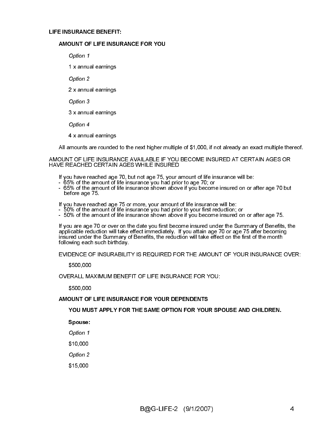# LIFE INSURANCE BENEFIT:

# AMOUNT OF LIFE INSURANCE FOR YOU

Option 1

1 x annual earnings

Option 2

2 x annual earnings

Option 3

3 x annual earnings

Option 4

4 x annual earnings

All amounts are rounded to the next higher multiple of \$1,000, if not already an exact multiple thereof.

# AMOUNT OF LIFE INSURANCE AVAILABLE IF YOU BECOME INSURED AT CERTAIN AGES OR HAVE REACHED CERTAIN AGES WHILE INSURED

- If you have reached age 70, but not age 75, your amount of life insurance will be:
- 65% of the amount of life insurance you had prior to age 70; or
- 65% of the amount of life insurance shown above if you become insured on or after age 70 but before age 75.

If you have reached age 75 or more, your amount of life insurance will be:

- 50% of the amount of life insurance you had prior to your first reduction; or
- 50% of the amount of life insurance shown above if you become insured on or after age 75.

 If you are age 70 or over on the date you first become insured under the Summary of Benefits, the applicable reduction will take effect immediately. If you attain age 70 or age 75 after becoming insured under the Summary of Benefits, the reduction will take effect on the first of the month following each such birthday.

EVIDENCE OF INSURABILITY IS REQUIRED FOR THE AMOUNT OF YOUR INSURANCE OVER:

\$500,000

OVERALL MAXIMUM BENEFIT OF LIFE INSURANCE FOR YOU:

\$500,000

# AMOUNT OF LIFE INSURANCE FOR YOUR DEPENDENTS

YOU MUST APPLY FOR THE SAME OPTION FOR YOUR SPOUSE AND CHILDREN.

Spouse:

Option 1

\$10,000

 $\sum_{i=1}^{n}$ 

\$15,000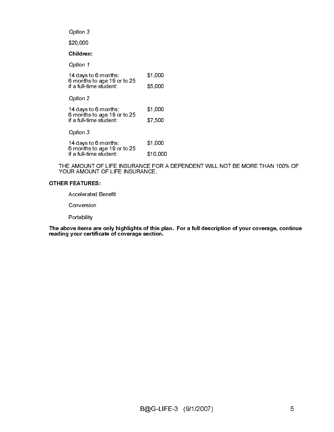| Option 3                                               |          |
|--------------------------------------------------------|----------|
| \$20,000                                               |          |
| Children:                                              |          |
| Option 1                                               |          |
| 14 days to 6 months:<br>6 months to age 19 or to 25    | \$1,000  |
| if a full-time student:                                | \$5,000  |
| Option 2                                               |          |
| 14 days to 6 months:<br>6 months to age 19 or to 25    | \$1,000  |
| if a full-time student:                                | \$7,500  |
| Option 3                                               |          |
| 14 days to 6 months:                                   | \$1,000  |
| 6 months to age 19 or to 25<br>if a full-time student: | \$10,000 |

 THE AMOUNT OF LIFE INSURANCE FOR A DEPENDENT WILL NOT BE MORE THAN 100% OF YOUR AMOUNT OF LIFE INSURANCE.

# OTHER FEATURES:

Accelerated Benefit

Conversion

**Portability** 

The above items are only highlights of this plan. For a full description of your coverage, continue reading your certificate of coverage section.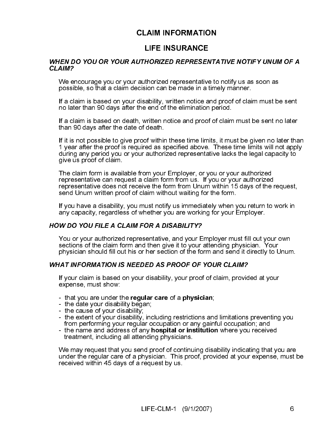# **CLAIM INFORMATION**

**LIFE INSURANCE**<br>
UTHORIZED REPRESENTA<br>
authorized representative to<br>
cision can be made in a time<br>
disability, written notice and<br>
the end of the elimination pe<br>
1, written notice and proof of<br>
of death.<br>
Iroof within the HORIZED REPRESEN<br>thorized representative<br>ison can be made in a t<br>ability, written notice an<br>end of the elimination<br>vritten notice and proof<br>death.<br>of within these time limi<br>authorized representat<br>authorized representat<br>aut CLAIM?<br>We encourage you or your authorized representative to notfy us as soon as<br>yosible, so that a claim decision can be made in a timely manner.<br>If a claim is based on your disability, written notice and proof of claim We er<br>
We er<br>
possil<br>
If a cla<br>
If a cla<br>
If a cla<br>
If a cla<br>
If a cla<br>
If a cla<br>
If yea<br>
Give L<br>
The c<br>
represing and<br>
If you<br>
any ca<br>
Send<br>
If you<br>
Section<br>
Pow DC<br>
You o<br>
section<br>
Pyou<br>
Section<br>
Pyou<br>
Section<br>
If you<br>
S possible so that a claim decision can be made in a tmely manner.<br>If a claim is based on your disability, written motice and proof of claim must be<br>no later than 90 days after the end of the elimination period.<br>If a claim i if a claim is based on your disability, written notice and proof of claim and the datim is based on death; that a claim is based on death and a claim is that a claim is based on death, written notice and proof of claim mus no later than 90 days after the end<sup>2</sup>d the simmation period<br>If a claim is based on desh, written rolice and proof of claim must be sent no later<br>than 90 days after the date, written rolice and proof of claim must be sent If a claim is based on death, written notice and proof of claim<br>than 90 days after the date of death.<br>This in on possible to give proof within these time limits, it must<br>after the proof is required as specified above. Thes 1t 1、 c v 1 r r v 1 w 1 v v K 1 v 1 l - 1 1 l - 1 1 l - 1 1 l - 1 1 l - 1 1 l - 1 1 l - 1 1 l - 1 1 than 90 days after the date of death.<br>
If it is not possible to give proof within these time limits, it must be given no later that<br>
It is not possible to give proof within these time limits, will not apply<br>
If year after If it is not possible to give proof within'<br>If it is not possible to give proof within'<br>1 year after the proof is required as s<br>during any period you or your authori<br>give us proof of claim.<br>The claim form is available from |` c v ̄ rrs | v ̄ l ヽ s ド / l l ∈ ̄ ̄ ̄ ̄ ̄ \lr If year affelr the proof is required as specified above. These time limits will not apply<br>during any period you or your authorized representative lacks the legislate proof of claim.<br>The daim form is a wailable from your Em during any period you are visual to the proof is a specified above. The claim form is available from your Employer, or you or your authorized<br>representative can requise ta claim form is on the form from us. If you or your give us proof of claim.<br>The claim form is available from your Employer, or you or your authorized<br>The claim form is available from your Employer, or you or your authorized<br>representative does not receive the form from Uniu The claim form is avail<br>representative can req<br>representative does no<br>send Unum written pro<br>If you have a disability,<br>any capacity, regardles<br>**W DO YOU FILE A CL**<br>You or your authorized<br>sections of the claim fo<br>physician s - rrs |w 『 ヽ w ド / 】 w - - - - - ヽ lr representative can request a claim form from usi. If you or your authorized<br>representative does not receive the form from Unum within 15 days of the<br>sentence and Unum written proof of claim without waiting for the form.<br>If

representative does not receive the form from Unum within 15 days of the resentation dom written proof of claim without waiting for the form<br>and thoum written proform claim without waiting for the form<br>any capacity, regard For the same of science of a simulation of the form from the form of your have a disability, you must notify us immediately when you return to work in any capacity, regardless of whether you are working for your Employer. If you have a disability, you must notify us immediately when yeny capacity, regardless of whether you are working for your E<br>
W DO YOU FILE A CLAIM FOR A DISABILITY?<br>
You or your authorized representative, and your Employ Ie l ヽsド ル le -- - \_ \lr If you consider the manner of the matter of the term of the state of the control of the change of the claim form and then given in the physician should fill out his or her section of the form and send if lot work in the ph any **any capacity, regardless of whether whether you are working for your articless of the claim form and then give it to your attending physician. Now or or your authorized representative, and your Employer must fill out** You or your authorized representative, and your Exections of the claim form and then give it to your in physician should fill out his or her section of the fo<br>
WHAT INFORMATION IS NEEDED AS PROOF OF<br>
If your claim is based

# 

- 
- the date your disability began;
- the cause of your disability;
- the extent of your disability, including restrictions and limitations preventing you from performing your regular occupation or any gainful occupation; and
- the name and address of any **hospital or institution** where you received treatment, including all attending physicians.

Sections of the claim form and then give it to your attending physician. Your implysiolan should fill out his or her section of the form and send it directly to Unum<br>
May also that the section of the form and send it direc sician should fill out his or her section of the form and send it directly to L<br> **AT INFORMATION IS NEEDED AS PROOF OF YOUR CLAIM?**<br>
If your claim is based on your disability, your proof of claim, provided at your<br>
- that **EXECT THE SHOULD FILL ON STAND FOR SHOULD FILM AT INFORMATION IS NEEDED AS PROOF OF YOUR CLAIM?**<br>
If your claim, is based on your disability, your proof of claim, provided at your expense, must show:<br>
That you are under t If your claim is based on your disability, your proof of claim, providences, must show:<br>
The date your disability began;<br>
the date your disability;<br>
The cause of your disability;<br>
the cause of your disability;<br>
The extent Expense, must show:<br>
It also are under the **regular care** of a **physician**;<br>
It acts your disability,<br>
It acts of your disability;<br>
It acts of your disability, including restrictions and limitations preventing<br>
It are exte France, that you are under t<br>
- that you are under t<br>
- the date your disabi<br>
- the cause of your di<br>
from performing you<br>
- the name and addre<br>
treatment, including<br>
We may request that<br>
under the regular care<br>
received w - - - - - \<br>\<br>\ - that you are under the **regular care** of a **physician**;<br>
- the date your disability began;<br>
- the cause of your disability;<br>
- the extent of your disability, including restrictions and<br>
from performing your regular occup We may request that you send proof of continuing disability indicating that you are under the regular care of a physician. This proof, provided at your expense, must be received within 45 days of a request by us.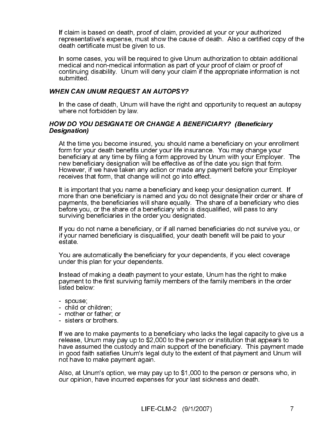If claim is based on death, proof of claim, provided at your or your authorized representative's expense, must show the cause of death. Also a certified copy of the<br>death certificate must be given to us.

In some cases, you will be required to give Unum authorization to obtain additional medical and non-medical information as part of your proof of claim or proof of continuing disability. Unum will deny your claim if the appropriate information is not submitted.

# WHEN CAN UNUM REQUEST AN AUTOPSY?

In the case of death, Unum will have the right and opportunity to request an autopsy where not forbidden by law.

# HOW DO YOU DESIGNATE OR CHANGE A BENEFICIARY? (Beneficiary Designation)

At the time you become insured, you should name a beneficiary on your enrollment form for your death benefits under your life insurance. You may change your beneficiary at any time by filing a form approved by Unum with your Employer. The new beneficiary designation will be effective as of the date you sign that form. However, if we have taken any action or made any payment before your Employer receives that form, that change will not go into effect.

It is important that you name a beneficiary and keep your designation current. If more than one beneficiary is named and you do not designate their order or share of payments, the beneficiaries will share equally. The share of a beneficiary who dies before you, or the share of a beneficiary who is disqualified, will pass to any surviving beneficiaries in the order you designated.

If you do not name a beneficiary, or if all named beneficiaries do not survive you, or if your named beneficiary is disqualified, your death benefit will be paid to your estate.

You are automatically the beneficiary for your dependents, if you elect coverage under this plan for your dependents.

Instead of making a death payment to your estate, Unum has the right to make payment to the first surviving family members of the family members in the order listed below:

- spouse;
- child or children;
- mother or father; or
- sisters or brothers.

If we are to make payments to a beneficiary who lacks the legal capacity to give us a release, Unum may pay up to \$2,000 to the person or institution that appears to have assumed the custody and main support of the beneficiary. This payment made in good faith satisfies Unum's legal duty to the extent of that payment and Unum will not have to make payment again.

Also, at Unum's option, we may pay up to \$1,000 to the person or persons who, in our opinion, have incurred expenses for your last sickness and death.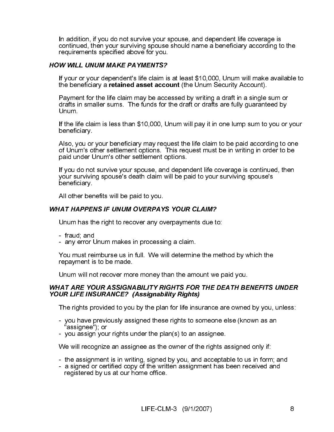In addition, if you do not survive your spouse, and dependent life coverage is continued, then your surviving spouse should name a beneficiary according to the requirements specified above for you.

# HOW WILL UNUM MAKE PAYMENTS?

If your or your dependent's life claim is at least \$10,000, Unum will make available to the beneficiary a retained asset account (the Unum Security Account).

Payment for the life claim may be accessed by writing a draft in a single sum or drafts in smaller sums. The funds for the draft or drafts are fully guaranteed by Unum.

If the life claim is less than \$10,000, Unum will pay it in one lump sum to you or your beneficiary.

Also, you or your beneficiary may request the life claim to be paid according to one of Unum's other settlement options. This request must be in writing in order to be paid under Unum's other settlement options.

If you do not survive your spouse, and dependent life coverage is continued, then your surviving spouse's death claim will be paid to your surviving spouse's beneficiary.

All other benefits will be paid to you.

# WHAT HAPPENS IF UNUM OVERPAYS YOUR CLAIM?

Unum has the right to recover any overpayments due to:

- fraud; and
- any error Unum makes in processing a claim.

You must reimburse us in full. We will determine the method by which the repayment is to be made.

Unum will not recover more money than the amount we paid you.

# WHAT ARE YOUR ASSIGNABILITY RIGHTS FOR THE DEATH BENEFITS UNDER YOUR LIFE INSURANCE? (Assignability Rights)

The rights provided to you by the plan for life insurance are owned by you, unless:

- you have previously assigned these rights to someone else (known as an "assignee"); or
- you assign your rights under the plan(s) to an assignee.

We will recognize an assignee as the owner of the rights assigned only if:

- the assignment is in writing, signed by you, and acceptable to us in form; and
- a signed or certified copy of the written assignment has been received and registered by us at our home office.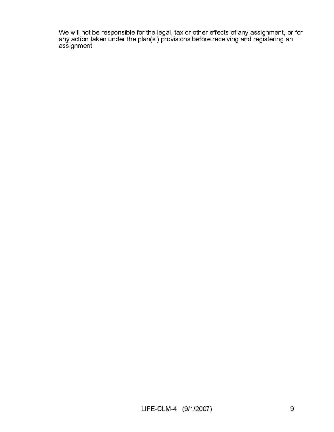We will not be responsible for the legal, tax or other effects of any assignment, or for any action taken under the plan(s') provisions before receiving and registering an assignment.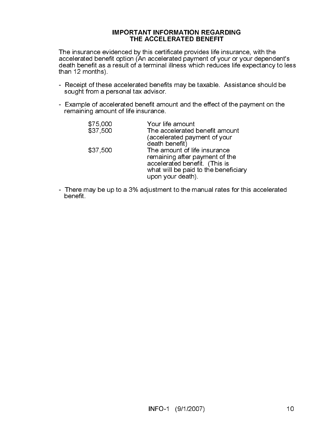# IMPORTANT INFORMATION REGARDING

THE ACCELERATED BENEFIT<br>The insurance evidenced by this certificate provides life insurance, with the accelerated benefit option (An accelerated payment of your or your dependent's death benefit as a result of a terminal illness which reduces life expectancy to less than 12 months).

- Receipt of these accelerated benefits may be taxable. Assistance should be sought from a personal tax advisor.
- Example of accelerated benefit amount and the effect of the payment on the remaining amount of life insurance.

| \$75,000<br>\$37,500 | Your life amount<br>The accelerated benefit amount<br>(accelerated payment of your                                                                                            |
|----------------------|-------------------------------------------------------------------------------------------------------------------------------------------------------------------------------|
| \$37,500             | death benefit)<br>The amount of life insurance<br>remaining after payment of the<br>accelerated benefit (This is<br>what will be paid to the beneficiary<br>upon your death). |

- There may be up to a 3% adjustment to the manual rates for this accelerated benefit.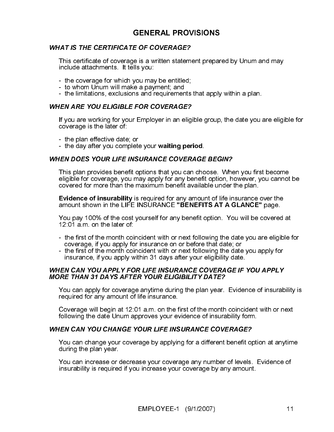# **GENERAL PROVISIONS**

# **WHAT IS THE CERTIFICATE OF COVERAGE?**

This certificate of coverage is a written statement prepared by Unum and may include attachments. It tells you:

- the coverage for which you may be entitled;
- to whom Unum will make a payment; and
- the limitations, exclusions and requirements that apply within a plan.

If you are working for your Employer in an eligible group, the date you are eligible for coverage is the later of:

- the plan effective date; or
- the day after you complete your waiting period.

This certificate of coverage is a written statement prepar<br>include attachments. It tells you:<br>
- the coverage for which you may be entited;<br>
- to whom Unum will make a payment; and<br>
- the limitations, exclusions and requi If you are working for your Employer in an eligit<br>coverage is the later of:<br>
If you are working for your Employer in an eligit<br>
coverage is the later of:<br>
If the day after you complete your waiting per<br>
WHEN DOES YOUR LIFE This plan provides benefit options that you can choose. Whe eligible for coverage, you may apply for any benefit option, he covered for more than the maximum benefit available under in Evaluation and the maximum benefit av This plan provides benefit options that you can choose. When you first become eligible for coverage, you may apply for any benefit option, however, you cannot be<br>covered for more than the maximum benefit available under the plan.

**Evidence of insurability** is required for any amount of life insurance over the amount shown in the LIFE INSURANCE "BENEFITS AT A GLANCE" page.

You pay 100% of the cost yourself for any benefit option. You will be covered at 12:01 a.m. on the later of:

- the first of the month coincident with or next following the date you are eligible for coverage, if you apply for insurance on or before that date; or
- the first of the month coincident with or next following the date you apply for insurance, if you apply within 31 days after your eligibility date.

You can apply for coverage anytime during the plan year. Evidence of insurability is required for any amount of life insurance.

Coverage will begin at 12:01 a.m. on the first of the month coincident with or next following the date Unum approves your evidence of insurability form.

You can change your coverage by applying for a different benefit option at anytime during the plan year.

WORE THAN 31 DAYS AFTER YOUR ELIGIBILITY DATE?<br>
You can apply for coverage anytime during the plan year. Evidence of insurab<br>
required for any amount of life insurance.<br>
Coverage will begin at 12.01 a.m. on the first of th You can apply for coverage anytime during the plan year.<br>
required for any amount of life insurance.<br>
Coverage will begin at 12:01 a.m. on the first of the month<br>
following the date Unum approves your evidence of insura<br>
W You can change your coverage by applying for a different benefit of<br>during the plan year.<br>You can increase or decrease your coverage any number of levels.<br>insurability is required if you increase your coverage by any amoun You can increase or decrease your coverage any number of levels. Evidence of insurability is required if you increase your coverage by any amount.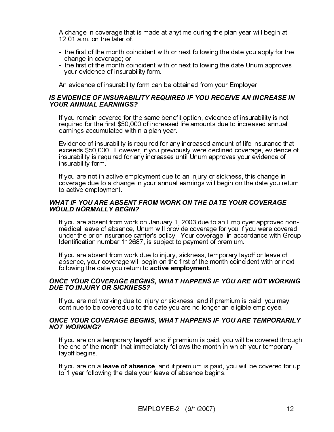A change in coverage that is made at anytime during the plan year will begin at 12:01 a.m. on the later of:

- the first of the month coincident with or next following the date you apply for the change in coverage; or
- the first of the month coincident with or next following the date Unum approves your evidence of insurability form.

An evidence of insurability form can be obtained from your Employer.

If you remain covered for the same benefit option, evidence of insurability is not required for the first \$50,000 of increased life amounts due to increased annual earnings accumulated within a plan year.

Evidence of insurability is required for any increased amount of life insurance that exceeds \$50,000. However, if you previously were declined coverage, evidence of insurability is required for any increases until Unum approves your evidence of insurability form.

If you are not in active employment due to an injury or sickness, this change in coverage due to a change in your annual earnings will begin on the date you return to active employment.

# **WHAT IF YOU ARE ABSENT FROM WORK ON THE DATE YOUR COVERAGE**

**YOUR ANNUAL EARNINGS?**<br>
If you remain covered for the same benefit option, evidence of insurability is not<br>
required for the first \$50,000 of increased life amounts due to increased annual<br>
earnings accumulated within a p If you remain covered for the<br>required for the first \$50,000<br>earnings accumulated withir<br>Evidence of insurability is re<br>exceeds \$50,000. However<br>insurability is required for ar<br>insurability form.<br>If you are not in active e WOULD NORMALLY BEGIN?<br>
If you are absent from work on January 1, 2003 due to an Employer approved<br>
medical leave of absence Unum will provide coverage for you if you were cove<br>
under the prior insurance carrier's policy. If you are absent from work in medical leave of absence, U<br>under the prior insurance callentification number 11268:<br>If you are absent from work in absence, your coverage will<br>following the date you return<br>**ONCE YOUR COVERA** If you are absent from work on January 1, 2003 due to an Employer approved nonmedical leave of absence, Unum will provide coverage for you if you were covered under the prior insurance carrier's policy. Your coverage, in accordance with Group Identification number 112687, is subject to payment of premium.

If you are absent from work due to injury, sickness, temporary layoff or leave of absence, your coverage will begin on the first of the month coincident with or next following the date you return to active employment.

If you are not working due to injury or sickness, and if premium is paid, you may continue to be covered up to the date you are no longer an eligible employee.

**DUE TO INJURY OR SICKNESS?**<br>
If you are not working due to injury or sickness, and if premium is paid, you may<br>
continue to be covered up to the date you are no longer an eligible employee.<br> **ONCE YOUR COVERAGE BEGINS, WH** If you are not working due to inju<br>continue to be covered up to the<br>**ONCE YOUR COVERAGE BEGINS**<br>NOT WORKING?<br>If you are on a temporary layoff<br>the end of the month that immed<br>layoff begins.<br>If you are on a **leave of absence NOT WORKING?**<br>
If you are on a temporary layoff, and if premium is paid, you will be covered through<br>
the end of the month that immediately follows the month in which your temporary<br>
layoff begins.<br>
If you are on a leave If you are on a<br>the end of the r<br>layoff begins.<br>If you are on a<br>to 1 year follow If you are on a temporary layoff, and if premium is paid, you will be covered through the end of the month that immediately follows the month in which your temporary layoff begins.

If you are on a leave of absence, and if premium is paid, you will be covered for up to 1 year following the date your leave of absence begins.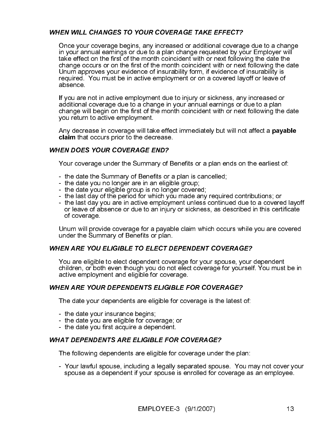Once your coverage begins, any increased or additional coverage<br>in your annual earnings or due to a plan change requested by you<br>take effect on the first of the month coincident with or next follow<br>Unum approves your evide Once your coverage begins, any increased or additional coverage due to a change in your annual earnings or due to a plan change requested by your Employer will take effect on the first of the month coincident with or next following the date the change occurs or on the first of the month coincident with or next following the date Unum approves your evidence of insurability form, if evidence of insurability is required. You must be in active employment or on a covered layoff or leave of absence.

If you are not in active employment due to injury or sickness, any increased or additional coverage due to a change in your annual earnings or due to a plan change will begin on the first of the month coincident with or next following the date you return to active employment.

Any decrease in coverage will take effect immediately but will not affect a **payable** claim that occurs prior to the decrease.

Your coverage under the Summary of Benefits or a plan ends on the earliest of:

- the date the Summary of Benefits or a plan is cancelled;
- the date you no longer are in an eligible group;
- the date your eligible group is no longer covered;
- the last day of the period for which you made any required contributions; or
- the last day you are in active employment unless continued due to a covered layoff or leave of absence or due to an injury or sickness, as described in this certificate of coverage.

Unum will provide coverage for a payable claim which occurs while you are covered under the Summary of Benefits or plan.

Your coverage under the Summary of I<br>
the date the Summary of Benefits or<br>
the date you no longer are in an eligi<br>
the last day of the period for which you<br>
the last day you are in active employ<br>
or leave of absence or due You are eligible to elect dependent coverage for your spouse, your children, or both even though you do not elect coverage for yourself active employment and eligible for coverage.<br>WHEN ARE YOUR DEPENDENTS ELIGIBLE FOR COV You are eligible to elect dependent coverage for your spouse, your dependent children, or both even though you do not elect coverage for yourself. You must be in active employment and eligible for coverage.

The date your dependents are eligible for coverage is the latest of:

- the date your insurance begins;
- the date you are eligible for coverage; or
- the date you first acquire a dependent.

The following dependents are eligible for coverage under the plan:

The date your dependents are eligible for coverage is the latest<br>
- the date your insurance begins;<br>
- the date you are eligible for coverage; or<br>
- the date you first acquire a dependent.<br>
WHAT DEPENDENTS ARE ELIGIBLE FOR The following dependents are eligible for coverage under<br>- Your lawful spouse, including a legally separated spous<br>spouse as a dependent if your spouse is enrolled for co<br>EMPLOYEE-3 (9/1/2007) - Your lawful spouse, including a legally separated spouse. You may not cover your spouse as a dependent if your spouse is enrolled for coverage as an employee.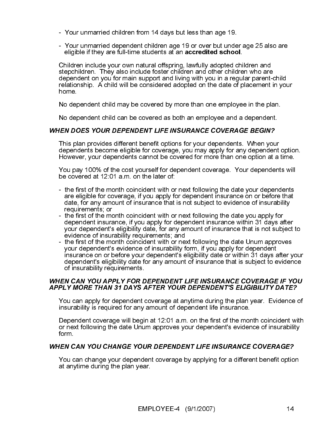- Your unmarried children from 14 days but less than age 19.
- Your unmarried dependent children age 19 or over but under age 25 also are eligible if they are full-time students at an accredited school.

Children include your own natural offspring, lawfully adopted children and stepchildren. They also include foster children and other children who are dependent on you for main support and living with you in a regular parent-child relationship. A child will be considered adopted on the date of placement in your home.

No dependent child may be covered by more than one employee in the plan.

No dependent child can be covered as both an employee and a dependent.

This plan provides different benefit options for your dependents. When your dependents become eligible for coverage, you may apply for any dependent option. However, your dependents cannot be covered for more than one option at a time.

You pay 100% of the cost yourself for dependent coverage. Your dependents will be covered at 12:01 a.m. on the later of:

- the first of the month coincident with or next following the date your dependents are eligible for coverage, if you apply for dependent insurance on or before that date, for any amount of insurance that is not subject to evidence of insurability requirements; or
- the first of the month coincident with or next following the date you apply for dependent insurance, if you apply for dependent insurance within 31 days after your dependent's eligibility date, for any amount of insurance that is not subject to evidence of insurability requirements; and
- This plan provides different benefit options for your dependents. When you dependents become eligible for coverage, you may apply for any dependent However, you dependents cannot be coverage. Your dependent overage. Your - the first of the month coincident with or next following the date Unum approves your dependent's evidence of insurability form, if you apply for dependent insurance on or before your dependent's eligibility date or within 31 days after your dependent's eligibility date for any amount of insurance that is subject to evidence of insurability requirements.

You can apply for dependent coverage at anytime during the plan year. Evidence of insurability is required for any amount of dependent life insurance.

**APPLY MORE THAN 31 DAYS AFTER YOUR DEPENDENT'S ELIGIBILITY DATE?**<br>
You can apply for dependent coverage at anytime during the plan year. Evidence of<br>
insurability is required for any amount of dependent life insurance.<br>
D **APPLY MORE THAN 31 DAYS AFTER YOUR DEPENDENT'S ELIGIBILITY DATE?**<br>
You can apply for dependent coverage at anytime during the plan year. Evidence consumptility is required for any amount of dependent life insurance.<br>
Depe Dependent coverage will begin at 12:01 a.m. on the first of the month coincident with or next following the date Unum approves your dependent's evidence of insurability form.

You can change your dependent coverage by applying for a different benefit option<br>at anytime during the plan year.<br>EMPLOYEE-4 (9/1/2007) 14 You can change your dependent coverage by applying for a different benefit option at anytime during the plan year.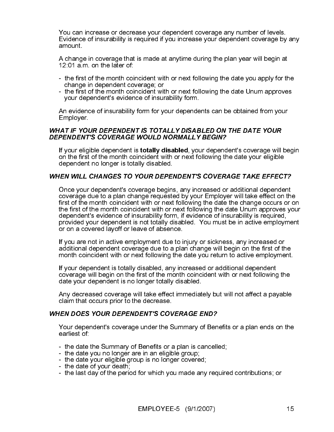You can increase or decrease your dependent coverage any number of levels. Evidence of insurability is required if you increase your dependent coverage by any amount.

A change in coverage that is made at anytime during the plan year will begin at 12:01 a.m. on the later of:

- the first of the month coincident with or next following the date you apply for the change in dependent coverage; or
- the first of the month coincident with or next following the date Unum approves your dependent's evidence of insurability form.

An evidence of insurability form for your dependents can be obtained from your Employer.

If your eligible dependent is **totally disabled**, your dependent's coverage will begin on the first of the month coincident with or next following the date your eligible dependent no longer is totally disabled.

**DEPENDENTS COVERAGE WOULD NORMALLY BEGIN?**<br>
If your eligible dependent is totally disabled, your dependents coverage will<br>
on the first of the month coincident with or next following the date your eligible<br>
dependent no l DEPENDENT'S COVERAGE WOULD NORMALLY BEGIN?<br>
If your eligible dependent is totally disabled, your depend<br>
on the first of the month coincident with or next following the<br>
dependent no longer is totally disabled.<br>
WHEN WILL WHEN WILL CHANGES TO YOUR DEPENDENT'S COVERAGE TAKE EFFECT?<br>
One your dependents coverage begins, any increased or additional dependent<br>
first of the month coincident with or next following the date the change coverage due Once your dependent's coverage begins, any increased or additional dependent coverage due to a plan change requested by your Employer will take effect on the first of the month coincident with or next following the date the change occurs or on the first of the month coincident with or next following the date Unum approves your dependent's evidence of insurability form, if evidence of insurability is required, provided your dependent is not totally disabled. You must be in active employment or on a covered layoff or leave of absence.

If you are not in active employment due to injury or sickness, any increased or additional dependent coverage due to a plan change will begin on the first of the month coincident with or next following the date you return to active employment.

If your dependent is totally disabled, any increased or additional dependent coverage will begin on the first of the month coincident with or next following the date your dependent is no longer totally disabled.

Any decreased coverage will take effect immediately but will not affect a payable claim that occurs prior to the decrease.

WHEN DOES YOUR DEPENDENT'S COVERAGE END?<br>
Your dependent's coverage under the Summary of Benefilest of:<br>
- the date the Summary of Benefits or a plan is cancelle<br>
- the date you no longer are in an eligible group;<br>
- the d Your dependent's coverage under the Summary of Benefits or a plan ends on the earliest of:

- the date the Summary of Benefits or a plan is cancelled;
- the date you no longer are in an eligible group;
- the date your eligible group is no longer covered;
- the date of your death;
- the last day of the period for which you made any required contributions; or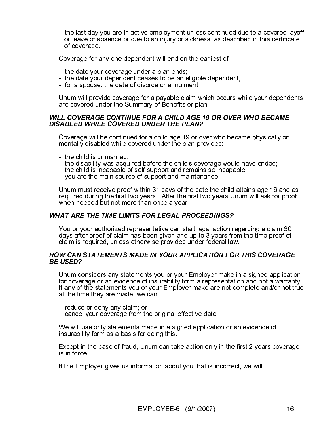- the last day you are in active employment unless continued due to a covered layoff or leave of absence or due to an injury or sickness, as described in this certificate

Coverage for any one dependent will end on the earliest of:

- the date your coverage under a plan ends;
- the date your dependent ceases to be an eligible dependent;
- for a spouse, the date of divorce or annulment.

Unum will provide coverage for a payable claim which occurs while your dependents are covered under the Summary of Benefits or plan.

# WILL COVERAGE CONTINUE FOR A CHILD AGE 19 OR OVER WHO BECAME

Coverage will be continued for a child age 19 or over who became physically or mentally disabled while covered under the plan provided:

- the child is unmarried;
- the disability was acquired before the child's coverage would have ended;
- the child is incapable of self-support and remains so incapable;
- you are the main source of support and maintenance.

Unum must receive proof within 31 days of the date the child attains age 19 and as required during the first two years. After the first two years Unum will ask for proof when needed but not more than once a year.

You or your authorized representative can start legal action regarding a claim 60 days after proof of claim has been given and up to 3 years from the time proof of claim is required, unless otherwise provided under federal law.

# **HOW CAN STATEMENTS MADE IN YOUR APPLICATION FOR THIS COVERAGE**

**DISABLED WHILE COVERED UNDER THE PLAN?**<br>
Coverage will be continued for a child age 19 or over who became physically or<br>
mentally disabeld while covered under the plan provided:<br>
The child is unmarried;<br>
The child is unma Coverage will be continued for a child age 19 or overtally disabled while covered under the plan promentally disabled while covered under the plan promentally is unmarried;<br>
the child is unmarried;<br>
the disability was acqu You or your authorized representative can start legal action roays after proof of claim has been given and up to 3 years fric claim is required, unless otherwise provided under federal law<br>
HOW CAN STATEMENTS MADE IN YOUR **BE USED?**<br>
Unum considers any statements you or your Employer make in a signed application<br>
for coverage or an evidence of insurability form a representation and not a warrant<br>
If any of the statements you or your Employe Unum cc<br>
for cover<br>
If any of<br>
at the tim<br>
- reduce<br>
cancel<br>
We will u<br>
insurabil<br>
Except ir<br>
is in forc<br>
If the Em Unum considers any statements you or your Employer make in a signed application for coverage or an evidence of insurability form a representation and not a warranty. If any of the statements you or your Employer make are not complete and/or not true at the time they are made, we can:

- reduce or deny any claim; or
- cancel your coverage from the original effective date.

We will use only statements made in a signed application or an evidence of insurability form as a basis for doing this.

Except in the case of fraud, Unum can take action only in the first 2 years coverage is in force.

If the Employer gives us information about you that is incorrect, we will: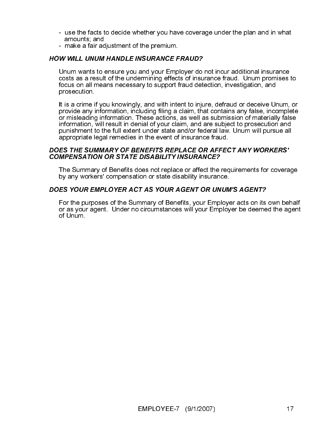- use the facts to decide whether you have coverage under the plan and in what amounts; and
- make a fair adjustment of the premium.

Unum wants to ensure you and your Employer do not incur additional insurance costs as a result of the undermining effects of insurance fraud. Unum promises to focus on all means necessary to support fraud detection, investigation, and prosecution.

HOW WILL UNUM HANDLE INSURANCE FRAUD?<br>
Unum wants to ensure you and your Employer do<br>
costs as a result of the undermining effects of insu<br>
focus on all means necessary to support fraud det<br>
prosecution.<br>
It is a crime if It is a crime if you knowingly, and with intent to injure, defraud or deceive Unum, or provide any information, including filing a claim, that contains any false, incomplete or misleading information. These actions, as well as submission of materially false information, will result in denial of your claim, and are subject to prosecution and punishment to the full extent under state and/or federal law. Unum will pursue all appropriate legal remedies in the event of insurance fraud.

The Summary of Benefits does not replace or affect the requirements for coverage by any workers' compensation or state disability insurance.

# DOES YOUR EMPLOYER ACT AS YOUR AGENT OR UNUM'S AGENT?

DOES THE SUMMARY OF BENEFITS REPLACE OR AFFECT ANY WORKERS'<br>COMPENSATION OR STATE DISABILITY INSURANCE?<br>The Summary of Benefits does not replace or affect the requirements for covera<br>by any workers' compensation or state d The Summary of Benefits does not replace or affect the by any workers' compensation or state disability insurance<br>DOES YOUR EMPLOYER ACT AS YOUR AGENT OR UN<br>For the purposes of the Summary of Benefits, your Emplor as your DOES YOUR EMPLOYER ACT AS YOUR AGENT OR UNUM'S AGENT?<br>
For the purposes of the Summary of Benefits, your Employer acts on its<br>
or as your agent. Under no circumstances will your Employer be deeme<br>
of Unum.<br>
EMPLOYEE-7 (9/1 For the purposes of the Summary of Benefits, your Employer acts on its own behalf or as your agent. Under no circumstances will your Employer be deemed the agent of Unum.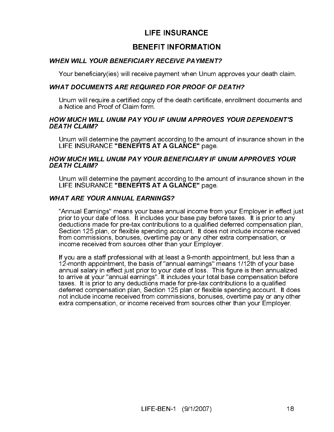# **LIFE INSURANCE**

# **BENEFIT INFORMATION**

# **WHEN WILL YOUR BENEFICIARY RECEIVE PAYMENT?**

Your beneficiary(ies) will receive payment when Unum approves your death claim.

Unum will require a certified copy of the death certificate, enrollment documents and a Notice and Proof of Claim form.

Unum will determine the payment according to the amount of insurance shown in the LIFE INSURANCE "BENEFITS AT A GLANCE" page.

Unum will determine the payment according to the amount of insurance shown in the LIFE INSURANCE "BENEFITS AT A GLANCE" page

"Annual Earnings" means your base annual income from your Employer in effect just prior to your date of loss. It includes your base pay before taxes. It is prior to any deductions made for pre-tax contributions to a qualified deferred compensation plan, Section 125 plan, or flexible spending account. It does not include income received from commissions, bonuses, overtime pay or any other extra compensation, or income received from sources other than your Employer.

NEFIT INFORMATION<br> *RY RECEIVE PAYMEL*<br>
ive payment when Unu<br>
UIRED FOR PROOF C<br>
opy of the death certific<br>
orm.<br>
YOU IF UNUM APPRO<br>
nent according to the a<br>
SAT A GLANCE" pag<br>
YOUR BENEFICIARY<br>
nent according to the a<br>
SA Your beneficiary(ies) will receive agment when Unum at<br>
WHAT DOCUMENTS ARE REQUIRED FOR PROOF OF D.<br>
Unum will require a certified copy of the death certificate,<br>
a Notice and Proof of Glaim form.<br>
HOW MUCH WILL UNUM PAY Y WHAT DOCUMENTS ARE REQUIRED FOR PROOF OF DEATH?<br>
Unum will require a certified copy of the death certificate, enrollm<br>
a Notice and Proof of Claim form.<br>
HOW MUCH WILL UNUM PAY YOU IF UNUM APPROVES YOUR<br>
Unum will determin HOW MUCH WILL UNUM PAY YOU IF UNUM APPROVES YOUR DEPENDENTS<br>
DEATH CLAIM?<br>
Unum will determine the payment according to the amount of insurance shown in<br>
Unum will determine the payment according to the amount of insurance Unum will dete<br>
LIFE INSURA<br>
HOW MUCH WIL<br>
DEATH CLAIM?<br>
Unum will dete<br>
LIFE INSURA<br>
WHAT ARE YOU<br>
"Annual Earnii prior to your divided to your divided to deductions mass<br>
Section 125 pl<br>
from commiss<br>
income receive<br>
If LIFE INSURANCE "BENEFITS AT A GLANCE" page.<br>
HOW MUCH WILL UNUM PAY YOUR BENEFICIARY IF UNUM APPROVES YOUR<br>
DRATH CLAIM?<br>
Unum will determine the payment according to the amount of insurance shown in t<br>
LIFE INSURANCE "BEN Unum will dete<br>LIFE INSURA<br>WHAT ARE YOU<br>"Annual Earnii prior to your deductions mas<br>Section 125 pl<br>from commiss<br>income receive<br>If you are a state 12-month appears<br>annual salary<br>to arrive at you<br>taxes. It is prior deferred LIFE INSURANCE "BENEFITS AT A GLANCE" page.<br>
WHAT ARE YOUR ANNUAL EARNINGS?<br>
"Annual Earnings" means your base annual income from<br>
prior to your date of loss. It includes your base pay before<br>
deductions made for pre-lax c If you are a staff professional with at least a 9-month appointment, but less than a 12-month appointment, the basis of "annual earnings" means 1/12th of your base annual salary in effect just prior to your date of loss. This figure is then annualized to arrive at your "annual earnings". It includes your total base compensation before taxes. It is prior to any deductions made for pre-tax contributions to a qualified deferred compensation plan, Section 125 plan or flexible spending account. It does not include income received from commissions, bonuses, overtime pay or any other extra compensation, or income received from sources other than your Employer.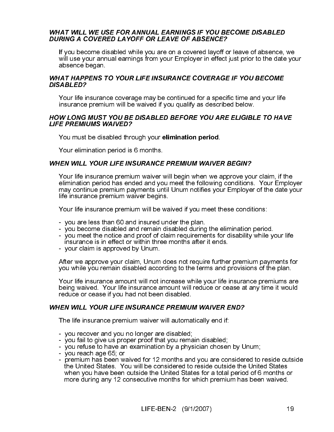If you become disabled while you are on a covered layoff or leave of absence, we will use your annual earnings from your Employer in effect just prior to the date your absence began.

Your life insurance coverage may be continued for a specific time and your life insurance premium will be waived if you qualify as described below.

# **HOW LONG MUST YOU BE DISABLED BEFORE YOU ARE ELIGIBLE TO HAVE**

You must be disabled through your elimination period.

Your elimination period is 6 months.

# **WHEN WILL YOUR LIFE INSURANCE PREMIUM WAIVER BEGIN?**

**DURING A COVERED LAYOFF OR LEAVE OF ABSENCE?**<br>
If you become disabled while you are on a covered layoff or leave of absence,<br>
will use your annual earnings from your Employer in effect just prior to the date<br>
will use you If you become disabled while you are on a covered layoff of<br>
WHAT HAPPENS TO YOUR LIFE INSURANCE COVERAGE<br>
DISABLED?<br>
YOURIC IFE INSURANCE COVERAGE<br>
DISABLED?<br>
YOURIC IIFE insurance coverage may be continued for a specific **DISABLED?**<br>
Your life insurance coverage may be continued for a specific time and your life<br>
insurance premium will be waived if you qualify as described below.<br>
HAPPENTUMS WAIVED?<br>
Your outs the disabled through your eli Your life in<br>
Your life in<br>
LIFE PREMIL<br>
You must<br>
Your elimi<br>
WHEN WILL<br>
Your life in<br>
elimination<br>
may contir<br>
life insuranc<br>
Your life in<br>
you are<br>
you are<br>
you are<br>
you mee<br>
insuranc<br>
your cla<br>
After we a<br>
your cla<br>
Af LIFE PREMIUMS WAIVED?<br>
You must be disabled through your elimination period.<br>
Your elimination period is 6 months.<br>
WHEN WILL YOUR LIFE INSURANCE PREMIUM WAIVER BEGIN?<br>
Your life insurance premium waiver will begin when we You must be disabled thre<br>
You must be disabled thre<br>
Your elimination period is<br>
WHEN WILL YOUR LIFE INS<br>
Your life insurance premium pa<br>
life insurance premium wa<br>
Ife insurance premium wa<br>
Your life insurance premium<br>
-Your life insurance premium waiver will begin when we approve your elimination period has ended and you meet the following conditions may continue premium waiver begins.<br>Wour life insurance premium waiver begins.<br>Your lif Your life insurance premium waiver will begin when we approve your claim, if the elimination period has ended and you meet the following conditions. Your Employer may continue premium payments until Unum notifies your Employer of the date your life insurance premium waiver begins.

Your life insurance premium will be waived if you meet these conditions:

- you are less than 60 and insured under the plan.
- you become disabled and remain disabled during the elimination period.
- you meet the notice and proof of claim requirements for disability while your life insurance is in effect or within three months after it ends.
- your claim is approved by Unum.

After we approve your claim, Unum does not require further premium payments for you while you remain disabled according to the terms and provisions of the plan.

Your life insurance amount will not increase while your life insurance premiums are being waived. Your life insurance amount will reduce or cease at any time it would reduce or cease if you had not been disabled.

The life insurance premium waiver will automatically end if:

- you recover and you no longer are disabled;
- you fail to give us proper proof that you remain disabled;
- you refuse to have an examination by a physician chosen by Unum;
- you reach age 65; or
- The life insurance premium waiver will automatically end if:<br>- you recover and you no longer are disabled;<br>- you fail to give us proper proof that you remain disabled;<br>- you refuse to have an examination by a physician cho - premium has been waived for 12 months and you are considered to reside outside the United States. You will be considered to reside outside the United States when you have been outside the United States for a total period of 6 months or more during any 12 consecutive months for which premium has been waived.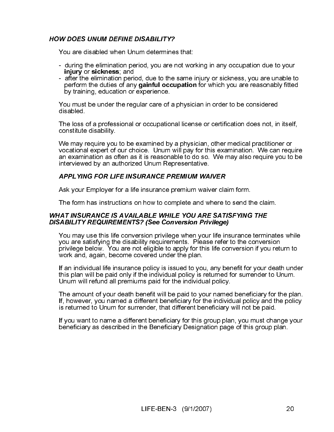You are disabled when Unum determines that:

- during the elimination period, you are not working in any occupation due to your injury or sickness; and
- after the elimination period, due to the same injury or sickness, you are unable to perform the duties of any gainful occupation for which you are reasonably fitted by training, education or experience.

You must be under the regular care of a physician in order to be considered disabled.

The loss of a professional or occupational license or certification does not, in itself, constitute disability.

**HOW DOES UNUM DEFINE DISABILITY?**<br>
You are disabled when Unum determines<br>
- during the elimination period, you are r<br>
injury or sickness; and<br>
- after the elimination period, due to the<br>
perform the duties of any gainful We may require you to be examined by a physician, other medical practitioner or vocational expert of our choice. Unum will pay for this examination. We can require an examination as often as it is reasonable to do so. We may also require you to be interviewed by an authorized Unum Representative.

Ask your Employer for a life insurance premium waiver claim form.

The form has instructions on how to complete and where to send the claim.

Ask your Employer for a life insurance premium waiver cla<br>
The form has instructions on how to complete and where t<br>
AT INSURANCE IS AVAILABLE WHILE YOU ARE SATI<br>
ANDILITY REQUIREMENTS? (See Conversion Privilege<br>
You may u メー・ルシ ヘンド/ IU II IK **DISABILITY REQUIREMENTS?** (See Conversion Privilege)<br>
You may use this life conversion privilege when your life insurance termine you are satisfying the disability requirements. Please refer to the conversion of privilege **DISABILITY REQUIREMENTS? (See Conversion Privilege)**<br>
You may use this life conversion privilege when your life ins<br>
you are satisfying the disability requirements. Please refer<br>
privilege below. You are not eligible to a You may use this life conversion privilege when your life insurance terminates while you are satisfying the disability requirements. Please refer to the conversion privilege below. You are not eligible to apply for this life conversion if you return to work and, again, become covered under the plan.

If an individual life insurance policy is issued to you, any benefit for your death under this plan will be paid only if the individual policy is returned for surrender to Unum. Unum will refund all premiums paid for the individual policy.

The amount of your death benefit will be paid to your named beneficiary for the plan. If, however, you named a different beneficiary for the individual policy and the policy is returned to Unum for surrender, that different beneficiary will not be paid.

If you want to name a different beneficiary for this group plan, you must change your beneficiary as described in the Beneficiary Designation page of this group plan.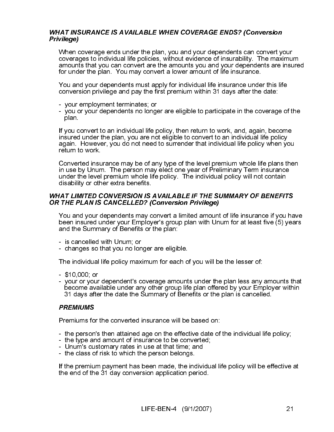# WHAT INSURANCE IS AVAILABLE WHEN COVERAGE ENDS? (Conversion Privilege)

When coverage ends under the plan, you and your dependents can convert your coverages to individual life policies, without evidence of insurability. The maximum amounts that you can convert are the amounts you and your dependents are insured for under the plan. You may convert a lower amount of life insurance.

You and your dependents must apply for individual life insurance under this life conversion privilege and pay the first premium within 31 days after the date:

- your employment terminates; or
- you or your dependents no longer are eligible to participate in the coverage of the plan.

If you convert to an individual life policy, then return to work, and, again, become insured under the plan, you are not eligible to convert to an individual life policy again. However, you do not need to surrender that individual life policy when you return to work.

Converted insurance may be of any type of the level premium whole life plans then in use by Unum. The person may elect one year of Preliminary Term insurance under the level premium whole life policy. The individual policy will not contain disability or other extra benefits.

# WHAT LIMITED CONVERSION IS AVAILABLE IF THE SUMMARY OF BENEFITS OR THE PLAN IS CANCELLED? (Conversion Privilege)

You and your dependents may convert a limited amount of life insurance if you have been insured under your Employer's group plan with Unum for at least five (5) years and the Summary of Benefits or the plan:

- is cancelled with Unum; or
- changes so that you no longer are eligible.

The individual life policy maximum for each of you will be the lesser of:

- \$10,000; or
- your or your dependent's coverage amounts under the plan less any amounts that become available under any other group life plan offered by your Employer within 31 days after the date the Summary of Benefits or the plan is cancelled.

# **PREMIUMS**

Premiums for the converted insurance will be based on:

- the person's then attained age on the effective date of the individual life policy;
- the type and amount of insurance to be converted;
- Unum's customary rates in use at that time; and
- the class of risk to which the person belongs.

If the premium payment has been made, the individual life policy will be effective at the end of the 31 day conversion application period.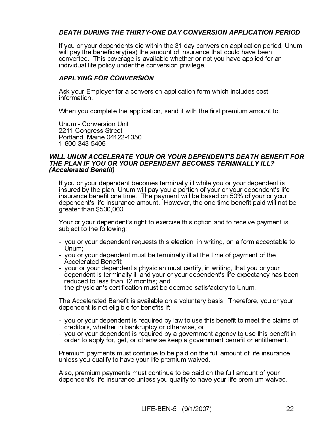# DEATH DURING THE THIRTY-ONE DAY CONVERSION APPLICATION PERIOD

If you or your dependents die within the 31 day conversion application period, Unum will pay the beneficiary(ies) the amount of insurance that could have been converted. This coverage is available whether or not you have applied for an individual life policy under the conversion privilege.

# APPLYING FOR CONVERSION

Ask your Employer for a conversion application form which includes cost information.

When you complete the application, send it with the first premium amount to:

Unum - Conversion Unit 2211 Congress Street Portland, Maine 04122-1350 1-800-343-5406

# WILL UNUM ACCELERATE YOUR OR YOUR DEPENDENT'S DEATH BENEFIT FOR THE PLAN IF YOU OR YOUR DEPENDENT BECOMES TERMINALLY ILL? (Accelerated Benefit)

If you or your dependent becomes terminally ill while you or your dependent is insured by the plan, Unum will pay you a portion of your or your dependent's life insurance benefit one time. The payment will be based on 50% of your or your dependent's life insurance amount. However, the one-time benefit paid will not be greater than \$500,000.

Your or your dependent's right to exercise this option and to receive payment is subject to the following:

- you or your dependent requests this election, in writing, on a form acceptable to Unum;
- you or your dependent must be terminally ill at the time of payment of the Accelerated Benefit;
- your or your dependent's physician must certify, in writing, that you or your dependent is terminally ill and your or your dependent's life expectancy has been reduced to less than 12 months; and
- the physician's certification must be deemed satisfactory to Unum.

The Accelerated Benefit is available on a voluntary basis. Therefore, you or your dependent is not eligible for benefits if:

- you or your dependent is required by law to use this benefit to meet the claims of creditors, whether in bankruptcy or otherwise; or
- you or your dependent is required by a government agency to use this benefit in order to apply for, get, or otherwise keep a government benefit or entitlement.

Premium payments must continue to be paid on the full amount of life insurance unless you qualify to have your life premium waived.

Also, premium payments must continue to be paid on the full amount of your dependent's life insurance unless you qualify to have your life premium waived.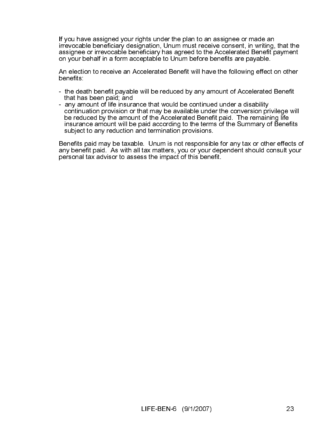If you have assigned your rights under the plan to an assignee or made an irrevocable beneficiary designation, Unum must receive consent, in writing, that the assignee or irrevocable beneficiary has agreed to the Accelerated Benefit payment on your behalf in a form acceptable to Unum before benefits are payable.

An election to receive an Accelerated Benefit will have the following effect on other benefits:

- the death benefit payable will be reduced by any amount of Accelerated Benefit that has been paid; and
- any amount of life insurance that would be continued under a disability continuation provision or that may be available under the conversion privilege will be reduced by the amount of the Accelerated Benefit paid. The remaining life insurance amount will be paid according to the terms of the Summary of Benefits subject to any reduction and termination provisions.

Benefits paid may be taxable. Unum is not responsible for any tax or other effects of any benefit paid. As with all tax matters, you or your dependent should consult your personal tax advisor to assess the impact of this benefit.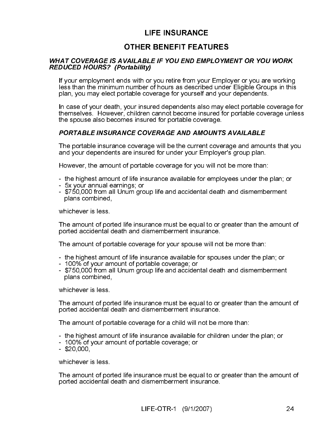# **LIFE INSURANCE**

# **OTHER BENEFIT FEATURES**

# WHAT COVERAGE IS AVAILABLE IF YOU END EMPLOYMENT OR YOU WORK REDUCED HOURS? (Portability)

If your employment ends with or you retire from your Employer or you are working less than the minimum number of hours as described under Eligible Groups in this plan, you may elect portable coverage for yourself and your dependents.

**EXAMPLE IT FEATURE INT FEATURE IF YOU END EMP**<br> **SLE IF YOU END EMP**<br>
or you retire from your<br>
or of hours as described<br>
sured dependents also<br>
an cannot become insult and for portable coveration<br>
DVERAGE AND AMOU<br>
age wi VAILABLE IF YOU END EMPLOYMINABLE IF YOU END EMPLOYMINABURY<br>
Intability)<br>
ds with or you retire from your Emplo<br>
number of hours as described under<br>
trable coverage for yourself and your<br>
your insured dependents also may e In case of your death, your insured dependents also may elect portable coverage for themselves. However, children cannot become insured for portable coverage unless the spouse also becomes insured for portable coverage.

# PORTABLE INSURANCE COVERAGE AND AMOUNTS AVAILABLE

The portable insurance coverage will be the current coverage and amounts that you and your dependents are insured for under your Employer's group plan.

However, the amount of portable coverage for you will not be more than:

- the highest amount of life insurance available for employees under the plan; or
- 5x your annual earnings; or
- \$750,000 from all Unum group life and accidental death and dismemberment plans combined,

whichever is less.

The amount of ported life insurance must be equal to or greater than the amount of ported accidental death and dismemberment insurance.

The amount of portable coverage for your spouse will not be more than:

- the highest amount of life insurance available for spouses under the plan; or
- 100% of your amount of portable coverage; or
- \$750,000 from all Unum group life and accidental death and dismemberment plans combined,

whichever is less.

The amount of ported life insurance must be equal to or greater than the amount of ported accidental death and dismemberment insurance.

The amount of portable coverage for a child will not be more than:

- the highest amount of life insurance available for children under the plan; or
- 100% of your amount of portable coverage; or
- $-$  \$20,000

whichever is less.

The amount of ported life insurance must be equal to or greater than the amount of ported accidental death and dismemberment insurance.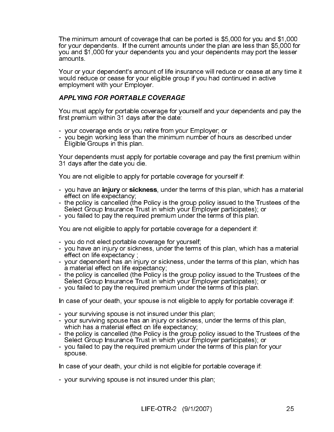The minimum amount of coverage that can be ported is \$5,000 for you and \$1,000 for your dependents. If the current amounts under the plan are less than \$5,000 for you and \$1,000 for your dependents you and your dependents may port the lesser amounts.

Your or your dependent's amount of life insurance will reduce or cease at any time it would reduce or cease for your eligible group if you had continued in active employment with your Employer.

# APPLYING FOR PORTABLE COVERAGE

You must apply for portable coverage for yourself and your dependents and pay the first premium within 31 days after the date:

- your coverage ends or you retire from your Employer; or
- you begin working less than the minimum number of hours as described under Eligible Groups in this plan.

Your dependents must apply for portable coverage and pay the first premium within 31 days after the date you die.

You are not eligible to apply for portable coverage for yourself if:

- you have an **injury** or **sickness**, under the terms of this plan, which has a material effect on life expectancy;
- the policy is cancelled (the Policy is the group policy issued to the Trustees of the Select Group Insurance Trust in which your Employer participates); or
- you failed to pay the required premium under the terms of this plan.

You are not eligible to apply for portable coverage for a dependent if:

- you do not elect portable coverage for yourself;
- you have an injury or sickness, under the terms of this plan, which has a material effect on life expectancy ;
- your dependent has an injury or sickness, under the terms of this plan, which has a material effect on life expectancy;
- the policy is cancelled (the Policy is the group policy issued to the Trustees of the Select Group Insurance Trust in which your Employer participates); or
- you failed to pay the required premium under the terms of this plan.

In case of your death, your spouse is not eligible to apply for portable coverage if:

- your surviving spouse is not insured under this plan;
- your surviving spouse has an injury or sickness, under the terms of this plan, which has a material effect on life expectancy;
- the policy is cancelled (the Policy is the group policy issued to the Trustees of the Select Group Insurance Trust in which your Employer participates); or
- you failed to pay the required premium under the terms of this plan for your spouse.

In case of your death, your child is not eligible for portable coverage if:

- your surviving spouse is not insured under this plan;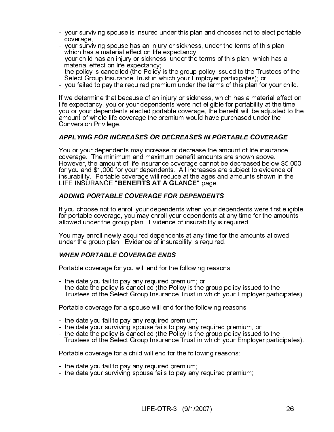- your surviving spouse is insured under this plan and chooses not to elect portable coverage;
- your surviving spouse has an injury or sickness, under the terms of this plan, which has a material effect on life expectancy;
- your child has an injury or sickness, under the terms of this plan, which has a material effect on life expectancy;
- the policy is cancelled (the Policy is the group policy issued to the Trustees of the Select Group Insurance Trust in which your Employer participates); or
- you failed to pay the required premium under the terms of this plan for your child.

If we determine that because of an injury or sickness, which has a material effect on life expectancy, you or your dependents were not eligible for portability at the time you or your dependents elected portable coverage, the benefit will be adjusted to the amount of whole life coverage the premium would have purchased under the Conversion Privilege.

# APPLYING FOR INCREASES OR DECREASES IN PORTABLE COVERAGE

You or your dependents may increase or decrease the amount of life insurance coverage. The minimum and maximum benefit amounts are shown above. However, the amount of life insurance coverage cannot be decreased below \$5,000 for you and \$1,000 for your dependents. All increases are subject to evidence of insurability. Portable coverage will reduce at the ages and amounts shown in the LIFE INSURANCE "BENEFITS AT A GLANCE" page.

# **ADDING PORTABLE COVERAGE FOR DEPENDENTS**

LIFE INSURANCE "BENEFITS AT A GLANCE" page.<br>
ADDING PORTABLE COVERAGE FOR DEPENDENT.<br>
If you choose not to enroll your dependents when your correctable coverage, you may enroll your dependents<br>
flow on portable coverage, y If you choose not to enroll your dependents when your dependents when your defor portable coverage, you may enroll your dependents at allowed under the group plan. Evidence of insurability is r<br>You may enroll newly acquire If you choose not to enroll your dependents when your dependents were first eligible for portable coverage, you may enroll your dependents at any time for the amounts allowed under the group plan. Evidence of insurability is required.

You may enroll newly acquired dependents at any time for the amounts allowed under the group plan. Evidence of insurability is required.

Portable coverage for you will end for the following reasons:

- the date you fail to pay any required premium; or
- Portable coverage for you will end for the<br>the date you fail to pay any required pre-<br>the date the policy is cancelled (the Policy Trustees of the Select Group Insurance<br>Portable coverage for a spouse will end f<br>- the date - the date the policy is cancelled (the Policy is the group policy issued to the Trustees of the Select Group Insurance Trust in which your Employer participates).

Portable coverage for a spouse will end for the following reasons:

- the date you fail to pay any required premium;
- the date your surviving spouse fails to pay any required premium; or
- the date the policy is cancelled (the Policy is the group policy issued to the Trustees of the Select Group Insurance Trust in which your Employer participates).

Portable coverage for a child will end for the following reasons:

- the date you fail to pay any required premium;
- the date your surviving spouse fails to pay any required premium;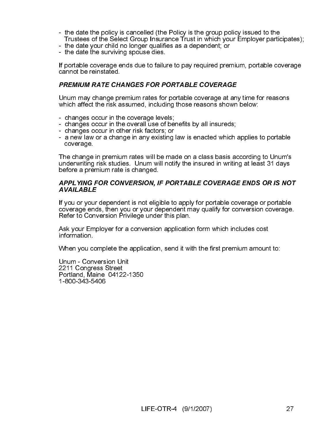- the date the policy is cancelled (the Policy is the group policy issued to the Trustees of the Select Group Insurance Trust in which your Employer participates);
- the date your child no longer qualifies as a dependent; or
- the date the surviving spouse dies.

If portable coverage ends due to failure to pay required premium, portable coverage cannot be reinstated.

# **PREMIUM RATE CHANGES FOR PORTABLE COVERAGE**

Unum may change premium rates for portable coverage at any time for reasons which affect the risk assumed, including those reasons shown below:

- changes occur in the coverage levels;
- changes occur in the overall use of benefits by all insureds;
- changes occur in other risk factors; or
- a new law or a change in any existing law is enacted which applies to portable coverage.

Unium may change premium rates for portable coverage at an<br>which affect the risk assumed, including those reasons shown<br>- changes occur in the coverage levels;<br>- changes occur in the overall use of benefits by all insureds The change in premium rates will be made on a class basis according to Unum's underwriting risk studies. Unum will notify the insured in writing at least 31 days before a premium rate is changed.

**AVAILABLE**<br>
If you or your dependent is not eligible to apply for portable coverage or portable<br>
If you or your dependent may qualify for conversion coverage.<br>
Refer to Conversion Privilege under this plan.<br>
Ask your Empl If you or your dependent is not eligible to apply for portable coverage or portable coverage ends, then you or your dependent may qualify for conversion coverage. Refer to Conversion Privilege under this plan.

Ask your Employer for a conversion application form which includes cost information.

When you complete the application, send it with the first premium amount to:

France and<br>If you or your<br>coverage end<br>Refer to Con\<br>Ask your Emp<br>information.<br>When you col<br>Unum - Conve<br>2211 Congre:<br>Portland, Mai<br>1-800-343-54 Unum - Conversion Unit 2211 Congress Street Portland, Maine 04122-1350 1-800-343-5406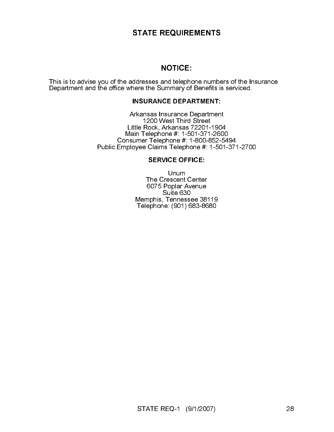# **STATE REQUIREMENTS**

This is to advise you of the addresses and telephone numbers of the Insurance Department and the office where the Summary of Benefits is serviced.

NOTICE:<br>
ddresses and telephone numbe<br>
nere the Summary of Benefits is<br>
INSURANCE DEPARTMENT:<br>
triansas Insurance Department<br>
tile Rock, Arkansas 72201-190-<br>
ain Telephone #: 1-501-371-260<br>
ovee Claims Telephone #: 1-500-8 The Technomic Telephone #: 1-501-371-260<br>
Itle Rock, Arkansas 72201-190<br>
iin Telephone #: 1-501-371-260<br>
umer Telephone #: 1-800-852-5<br>
oyee Claims Telephone #: 1-50<br>
SERVICE OFFICE: Unum<br>
The Crescent Center 6075 Poplar A Arkansas Insurance Department 1200 West Third Street Little Rock, Arkansas 72201-1904 Main Telephone #: 1-501-371-2600 Consumer Telephone #: 1-800-852-5494 Public Employee Claims Telephone #: 1-501-371-2700

and telepho<br>ummary of<br>ICE DEPAF<br>nsurance D<br>Arkansas 7<br>one #: 1-50<br>phone #: 1-50<br>ms Telephon<br>VICE OFFI<br>Unum<br>Crescent Ce<br>Poplar Ave<br>Suite 630<br>i, Tennesse<br>i, Tennesse Unum<br>
The Crescent Center<br>
5075 Poplar Avenue<br>
Suite 630<br>
pphone: (901) 683-86<br>
pphone: (901) 683-86 Unum The Crescent Center 6075 Poplar Avenue Suite 630 Memphis, Tennessee 38119 Telephone: (901) 683-8680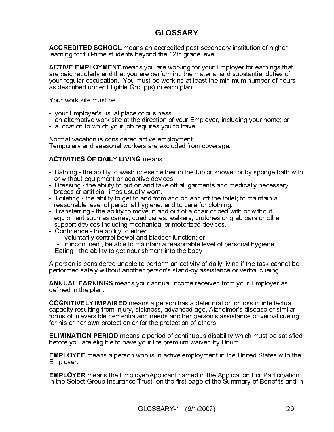# **GLOSSARY**

ACCREDITED SCHOOL means an accredited post-secondary institution of higher<br>ACCREDITED SCHOOL means an accredited post-secondary institution of higher<br>acritive EMPLOYMENT means you are working for your Employer for earning learning for full-time students beyond the 12th grade level.<br>
ACTIVE EMPLOYMENT means you are working for your Fare paid regularly and that you are performing the material<br>
ayour regular occupation. You must be working at **ACTIVE EMPLOYMENT** means you are working for your Employer for earnings that<br>are paid regularly and that you are performing the material and substantial duties of<br>your regular occupation. You must be working at least the are paid regularly and that you are performing the material and substantial duties of your regular occupation. You must be working at least the minimum number of hours as described under Eligible Group(s) in each plan.

Your work site must be:

- your Employer's usual place of business;
- an alternative work site at the direction of your Employer, including your home; or
- a location to which your job requires you to travel.

Normal vacation is considered active employment. Temporary and seasonal workers are excluded from coverage.

# **ACTIVITIES OF DAILY LIVING means:**

- Bathing the ability to wash oneself either in the tub or shower or by sponge bath with or without equipment or adaptive devices.
- Dressing the ability to put on and take off all garments and medically necessary braces or artificial limbs usually worn.
- Toileting the ability to get to and from and on and off the toilet; to maintain a reasonable level of personal hygiene, and to care for clothing.
- Transferring the ability to move in and out of a chair or bed with or without equipment such as canes, quad canes, walkers, crutches or grab bars or other support devices including mechanical or motorized devices.
- Continence the ability to either:
	- voluntarily control bowel and bladder function; or
	- if incontinent, be able to maintain a reasonable level of personal hygiene.
- Eating the ability to get nourishment into the body.

A person is considered unable to perform an activity of daily living if the task cannot be performed safely without another person's stand-by assistance or verbal cueing.

**ACTIVITIES OF DAILY LIVING** means:<br>- Bathing - the ability to wash oneself eit<br>or without equipment or adaptive device<br>Dressing - the ability to put on and take<br>braces or artificial limbs usually worn.<br>- Toileting - the a ANNUAL EARNINGS means your annual income received from your Employer as<br>defined in the plan.<br>COGNITIVELY IMPAIRED means a person has a deterioration or loss in intellectual<br>COGNITIVELY IMPAIRED means a person has a deterio defined in the plan.<br>COGNITIVELY IMP<br>capacity resulting froms of irreversible<br>for his or her own pr<br>ELIMINATION PER<br>before you are eligit<br>EMPLOYEE means<br>EMPLOYER means<br>in the Select Group<br>in the Select Group COGNITIVELY IMPAIRED means a person has a deterioration or loss in intellectual<br>capacity resulting from injury, sickness, advanced age, Alzheimer's disease or similar<br>forms of irreversible dementia and needs another person capacity resulting from injury, sickness, advanced age, Alzheimer's disease or similar forms of irreversible dementia and needs another person's assistance or verbal cueing<br>for his or her own protection or for the protection of others.

for his or her own protection or for the protection of others.<br> **ELIMINATION PERIOD** means a period of continuous disa<br>
before you are eligible to have your life premium waived by<br> **EMPLOYEE** means a person who is in activ ELIMINATION PERIOD means a period of continuous disability which must be satisfied<br>before you are eligible to have your life premium waived by Unum.<br>EMPLOYEE means a person who is in active employment in the United States before you are eligible to have your life premium waived by Unum.<br> **EMPLOYEE** means a person who is in active employment in the U<br> **EMPLOYER** means the Employer/Applicant named in the Applicati<br>
in the Select Group Insuran EMPLOYEE means a person who is in active employment in the United States with the Employer.<br>
EMPLOYER means the Employer/Applicant named in the Application For Participation<br>
in the Select Group Insurance Trust, on the fir Employer.<br>**EMPLOYE**<br>in the Sele<br> **EMPLOYER** means the Employer/Applicant named in the Application For Participation EMPLOYER means the Employer/Applicant named in the Application For Participation<br>in the Select Group Insurance Trust, on the first page of the Summary of Benefits and in<br>GLOSSARY-1 (9/1/2007) 29 in the Select Group Insurance Trust, on the first page of the Summary of Benefits and in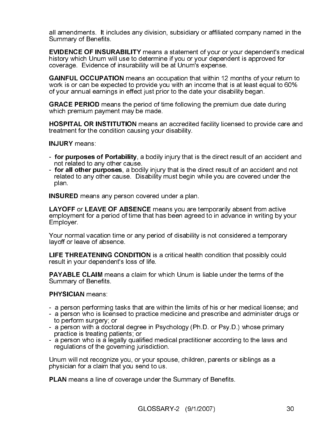all amendments. It includes any division, subsidiary or affiliated company named in the<br>Summary of Benefits.

Summary of Benefits.<br>
EVIDENCE OF INSUF<br>
history which Unum wi<br>
coverage. Evidence of<br>
GAINFUL OCCUPATI<br>
work is or can be experity<br>
of your annual earning<br>
GRACE PERIOD mea<br>
which premium payme<br>
HOSPITAL OR INSTIT<br>
treatm history which Unum will use to determine if you or your dependent is approved for

EVIDENCE OF INSURABILITY means a statement of your or your dependent is approved for<br>Entschy which Union will use to determine if you or your dependent is approved for<br>coverage. Evidence of insurability will be at Unum's e coverage. Evidence of insurability will be at Unum's expense.<br>CAINFUL OCCUPATION means an occupation that within 12<br>work is or can be expected to provide you with an income that<br>of your annual earnings in effect just prior work is or can be expected to provide you with an income that is at least equal to 60%

- 
- GAINFUL OCCUPATION means an occupation that within 12 months of your return to<br>dor's is or can be expected to provide you with an income that is at least equal to 60%<br>of your annual earnings in effect just prior to the dat of your annual earnings in effect just prior to the date your disability began.<br>
GRACE PERIOD means the period of time following the premium due date<br>
which premium payment may be made.<br>
HOSPITAL OR INSTITUTION means an ac GRACE PERIOD means the period of time following the premium due date during<br>
Which premium payment may be made.<br>
HOSPITAL OR INSTITUTION means an accredited facility licensed to provide care<br>
treatment for the condition ca which premium payment may be made.<br>
HOSPITAL OR INSTITUTION means are treatment for the condition causing your<br>
INJURY means:<br>
- for purposes of Portability, a bodily<br>
- for purposes of Portability, a bodily<br>
- for all oth HOSPITAL OR INSTITUTION means an accredited facility licensed to provide care and<br>
INJURY means<br>
- for purposes of Portability, a bodily injury that is the direct result of an accident and<br>
not related to any other cause.<br> treatment for the condition causing your disability.<br>
INJURY means:<br>
- for purposes of Portability, a bodily injury that<br>
- for all other purposes, a bodily injury that is the<br>
- for all other purposes, a bodily injury tha INJURY means:<br>- for purposes on trelated to a<br>- for all other purelated to any c<br>plan.<br>INSURED means<br>LAYOFF or LEA<br>employment for a<br>Employment for a<br>Employer.<br>Your normal vaca<br>layoff or leave of<br>LIFE THREATEP<br>result in you - for purposes of Portability, a bodily injury that is the direct result of an accident and<br>not related to any other cause.<br>For all other purposes, a bodily injury that is the direct result of an accident and not<br>related t not related to any other cause.<br>- **for all other purposes**, a bodily injury that is the direct result of an accident and not related to any other cause. Disability must begin while you are covered under the plan.

- for all other purposes, a bodily injury that is the direct result of an accident and not<br>
plantation any other cause. Disability must begin while you are covered under the<br>
DINOTE or LEAVE OF ABSENCE means and temporaril INSURED means any person covered under a plan.<br>
LAYOFF or LEAVE OF ABSENCE means you are tween ployment for a period of time that has been agree<br>
Employer.<br>
Your normal vacation time or any period of disability<br>
Your norma LAYOFF or LEAVE OF ABSENCE means you are temporarily absent from active LAYOFF or LEAVE OF ABSENCE means you are temporarily absent from active<br>Employment for a period of time that has been agreed to in advance in writing by y<br>Employer.<br>Your normal vacation time or any period of disability is employment for a period of time that has been agreed to in advance in writing by your

Employer.<br>Your norma<br>layoff or lea<br>LIFE THRI<br>result in yo<br>PAYABLE<br>Summary d<br>PHYSICIA<br>- a person<br>to perforre a person<br>practice i<br>- a person<br>regulation<br>Unum will i<br>physician f<br>PLAN mea Your normal vacation time or any period of disability is not considered a temporary layoff or leave of absence.

result in your dependent's loss of life.<br> **PAYABLE CLAIM** means a claim for Summary of Benefits.<br> **PHYSICIAN** means:<br>
- a person performing tasks that are v<br>
- a person who is licensed to practice<br>
to perform surgery; or<br>

- a person performing tasks that are within the limits of his or her medical license; and
- a person who is licensed to practice medicine and prescribe and administer drugs or to perform surgery; or
- a person with a doctoral degree in Psychology (Ph.D. or Psy.D.) whose primary practice is treating patients; or
- LIFE THREATENING CONDITION is a critical health condition that possibly could<br>
result in your dependent's loss of life.<br>
PAYABLE CLAIM means a claim for which Unum is liable under the terms of the<br>
PAYAICIAN means:<br>
 a pe **PAYABLE CLAIM** means a claim for which Unum is liable under the terms of the Summary of Benefits.<br> **PHYSICIAN** means:<br> **PHYSICIAN** means:<br> **PHYSICIAN** means:<br> **PHYSICIAN** means:<br> **PHYSICIAN** means:<br> **PHYSICIAN** means: to Summary of Benefits.<br> **PHYSICIAN** means:<br>
- a person performing<br>
- a person who is lice<br>
to perform surgery; c<br>
- a person with a doct<br>
practice is treating p;<br>
- a person who is a le<br>
regulations of the go<br>
Unum will not **PHYSICIAN** means:<br>
- a person performin<br>
- a person who is lice<br>
to perform surgery;<br>
- a person with a doo<br>
practice is treating<br>
- a person who is a l<br>
regulations of the g<br>
Unum will not recogn<br>
physician for a claim<br> - a person who is a legally qualified medical practitioner according to the laws and regulations of the governing jurisdiction.

Unum will not recognize you, or your spouse, children, parents or siblings as a physician for a claim that you send to us.

**PLAN** means a line of coverage under the Summary of Benefits.<br>
GLOSSARY-2 (9/1/2007)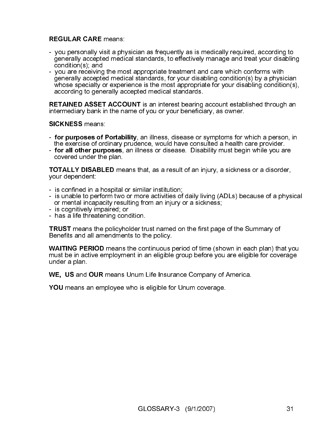- you personally visit a physician as frequently as is medically required, according to generally accepted medical standards, to effectively manage and treat your disabling condition(s); and
- REGULAR CARE means:<br>- you personally visit a phy<br>condition(s); and<br>condition(s); and<br>you are receiving the mo-<br>generally accepted medic<br>whose specialty or exper<br>according to generally ac<br>RETAINED ASSET ACCO<br>intermediary ba - you are receiving the most appropriate treatment and care which conforms with generally accepted medical standards, for your disabling condition(s) by a physician whose specialty or experience is the most appropriate for your disabling condition(s), according to generally accepted medical standards.

- 
- the exercise of ordinary prudence, would have consulted a health care provider.<br>**For all other purposes**, an illness or disease. Disability must begin while you are covered under the plan.

- is confined in a hospital or similar institution;
- is unable to perform two or more activities of daily living (ADLs) because of a physical or mental incapacity resulting from an injury or a sickness;
- is cognitively impaired; or
- has a life threatening condition.

RETAINED ASSET ACCOUNT is an interest bearing account established through an<br>RICKINED ASSET ACCOUNT is an interest bearing account established through an<br>SICKNESS means:<br>- for purposes of Portability, an illness, disease o intermediary bank in the name of you or your beneficiary, as owner.<br>SICKNESS means:<br>Corresponds of ordinary prudence, would have consulted a health of the averises of ordinary proceses, an illness or disease or symptoms fo SICKNESS means:<br>- for purposes of F<br>the exercise of ord<br>- for all other purp<br>covered under the<br>TOTALLY DISABLE<br>your dependent:<br>- is confined in a ho<br>- is unable to perfor<br>or mental incapaci<br>- is cognitively impa<br>- has a li - for purposes of Portability, an illness, disease or symptoms for which a person, in<br>the exercise of ordinary prudence, would have consulted a health care provider.<br>- cor all other purposes, an illness or disease. Disabil - for all other purposes, an illness or disease. Disability must begin while you are<br>covered under the plan.<br>TOTALLY DISABLED means that, as a result of an injury, a sickness or a disorder,<br>- is confined in a hospital or s TOTALLY DISABLED means that, as a result of an injury, a sickness or a disorder,<br>
For ALLY DISABLED means that, as a result of an injury, a sickness or a disorder,<br>
- is confined in a hospital or similar institution;<br>
- is your dependent:<br>- is confined in a<br>- is unable to pei<br>- is cognitively in<br>- is cognitively in<br>- has a life threa<br>**TRUST** means th<br>Benefits and all a<br>WAITING PERIC<br>must be in active<br>under a plan.<br>WE, US and OU<br>YOU means an TRUST means the policyholder trust named on the first page of the Summary of<br>Benefits and all amendments to the policy.<br>
WAITING PERIOD means the continuous period of time (shown in each plan) that<br>
the in active employmen Benefits and all amendments to the policy.<br>
WAITING PERIOD means the continuous r<br>
must be in active employment in an eligible<br>
under a plan.<br>
WE, US and OUR means Unum Life Insura<br>
YOU means an employee who is eligible fo WAITING PERIOD means the continuous period of time (shown in each plan) that you<br>must be in active employment in an eligible group before you are eligible for coverage<br>under a plan.<br>WE, US and OUR means Unum Life Insurance must be in active employment in an eligible group before you are eligible for coverage.<br>under a plan

under a plan.<br>WE, US and<br>YOU means a WE, US and OUR means Unum Life Insurance Company of America.<br>YOU means an employee who is eligible for Unum coverage.<br> $GLOSSARY-3$  (9/1/2007)

YOU means an employee who is eligible for Unum coverage.<br> $\left.\right.$ GLOSSARY-3  $\left.\right.$  (9/1/2007)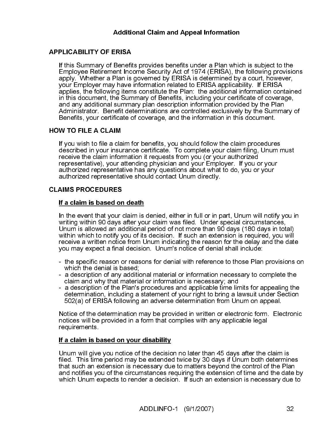Additional Claim and Appeal Information<br>
ERISA<br>
ERISA<br>
Benefits provides benefits under a Plan which<br>
then throme Security Act of 1974 (ERISA), the<br>
Plan is governed by ERISA is determined by<br>
I/ have information related t If this Summary of Benefit<br>Employee Retirement Incomply. Whether a Plan is<br>syour Employer may have<br>applies, the following item<br>and any additional summar<br>Administrator. Benefit de<br>Benefits, your certificate c<br>HOW TO FILE A If this Summary of Benefits provides benefits under a Plan which is subject to the Employee Retirement Income Security Act of 1974 (ERISA), the following provisions apply. Whether a Plan is governed by ERISA is determined by a court, however, your Employer may have information related to ERISA applicability. If ERISA applies, the following items constitute the Plan: the additional information contained in this document, the Summary of Benefits, including your certificate of coverage, and any additional summary plan description information provided by the Plan Administrator. Benefit determinations are controlled exclusively by the Summary of Benefits, your certificate of coverage, and the information in this document.

If you wish to file a claim for benefits, you should follow the claim procedures described in your insurance certificate. To complete your claim filing, Unum must receive the claim information it requests from you (or your authorized representative), your attending physician and your Employer. If you or your authorized representative has any questions about what to do, you or your authorized representative should contact Unum directly.

If you wish to file a cla<br>described in your insu<br>receive the claim infor<br>representative), your a<br>authorized representa<br>authorized representa<br>**CLAIMS PROCEDURES**<br>If a claim is based or<br>In the event that your writing within **CLAIMS PROCEDURES**<br>
If a claim is based on<br>
In the event that your of<br>
writing within 90 days<br>
Uhum is allowed an act<br>
within which to notify y<br>
receive a written notice<br>
you may expect a final<br>
- the specific reason c<br>
w If a claim is based on death<br>In the event that your claim is<br>writing within 90 days after you<br>Unum is allowed an additional<br>within which to notify you of its<br>receive a written notice from L<br>you may expect a final decisio<br>-In the event that your claim is denied, either in full or in part, Unum will notify you in writing within 90 days after your claim was filed. Under special circumstances, Unum is allowed an additional period of not more than 90 days (180 days in total) within which to notify you of its decision. If such an extension is required, you will receive a written notice from Unum indicating the reason for the delay and the date you may expect a final decision. Unum's notice of denial shall include:

- the specific reason or reasons for denial with reference to those Plan provisions on which the denial is based;
- a description of any additional material or information necessary to complete the claim and why that material or information is necessary; and
- a description of the Plan's procedures and applicable time limits for appealing the determination, including a statement of your right to bring a lawsuit under Section 502(a) of ERISA following an adverse determination from Unum on appeal.

Notice of the determination may be provided in written or electronic form. Electronic notices will be provided in a form that complies with any applicable legal requirements.

If a claim is based on your disability<br>Unum will give you notice of the decisio<br>filed. This time period may be extended<br>that such an extension is necessary due<br>and notifies you of the circumstances re<br>which Unum expects to Unum will give you notice of the decision no later than 45 days after the claim is filed. This time period may be extended twice by 30 days if Unum both determines that such an extension is necessary due to matters beyond the control of the Plan and notifies you of the circumstances requiring the extension of time and the date by which Unum expects to render a decision. If such an extension is necessary due to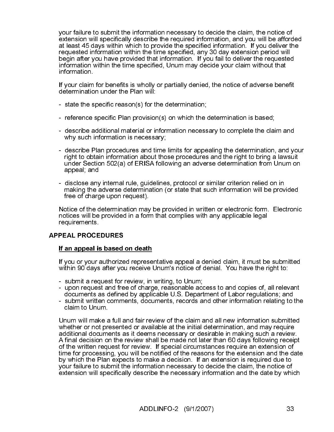your failure to submit the information necessary to decide the claim, the notice of extension will specifically describe the required information, and you will be afforded at least 45 days within which to provide the specified information. If you deliver the requested information within the time specified, any 30 day extension period will begin after you have provided that information. If you fail to deliver the requested information within the time specified, Unum may decide your claim without that information.

If your claim for benefits is wholly or partially denied, the notice of adverse benefit determination under the Plan will:

- state the specific reason(s) for the determination;
- reference specific Plan provision(s) on which the determination is based;
- describe additional material or information necessary to complete the claim and why such information is necessary;
- describe Plan procedures and time limits for appealing the determination, and your right to obtain information about those procedures and the right to bring a lawsuit under Section 502(a) of ERISA following an adverse determination from Unum on appeal; and
- disclose any internal rule, guidelines, protocol or similar criterion relied on in making the adverse determination (or state that such information will be provided free of charge upon request).

Notice of the determination may be provided in written or electronic form. Electronic notices will be provided in a form that complies with any applicable legal requirements.

If you or your authorized representative appeal a denied claim, it must be submitted within 90 days after you receive Unum's notice of denial. You have the right to:

- submit a request for review, in writing, to Unum;
- upon request and free of charge, reasonable access to and copies of, all relevant documents as defined by applicable U.S. Department of Labor regulations; and
- submit written comments, documents, records and other information relating to the claim to Unum.

**APPEAL PROCEDURES**<br>
If an appeal is based<br>
If you or your authorize<br>
within 90 days after you<br>
- submit a request for  $\cdot$ <br>
- upon request and fre<br>
documents as define<br>
- submit written commer<br>
claim to Unum.<br>
Unum will m If you or your authorized represe<br>If you or your authorized represe<br>- submit a request for review, in<br>- upon request and free of charged<br>- submit written comments, doculus claim to Unum.<br>Unum will make a full and fair revi Unum will make a full and fair review of the claim and all new information submitted whether or not presented or available at the initial determination, and may require additional documents as it deems necessary or desirable in making such a review. A final decision on the review shall be made not later than 60 days following receipt of the written request for review. If special circumstances require an extension of time for processing, you will be notified of the reasons for the extension and the date by which the Plan expects to make a decision. If an extension is required due to your failure to submit the information necessary to decide the claim, the notice of extension will specifically describe the necessary information and the date by which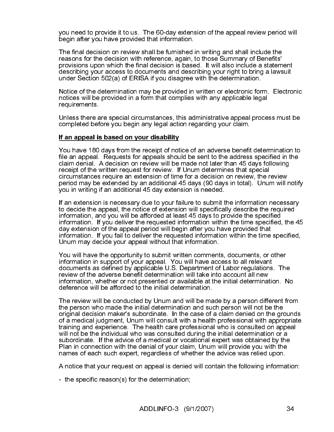you need to provide it to us. The 60-day extension of the appeal review period will begin after you have provided that information.

The final decision on review shall be furnished in writing and shall include the reasons for the decision with reference, again, to those Summary of Benefits' provisions upon which the final decision is based. It will also include a statement describing your access to documents and describing your right to bring a lawsuit under Section 502(a) of ERISA if you disagree with the determination.

Notice of the determination may be provided in written or electronic form. Electronic notices will be provided in a form that complies with any applicable legal requirements.

Unless there are special circumstances, this administrative appeal process must be completed before you begin any legal action regarding your claim.

You have 180 days from the receipt of notice of an adverse benefit determination to file an appeal. Requests for appeals should be sent to the address specified in the claim denial. A decision on review will be made not later than 45 days following receipt of the written request for review. If Unum determines that special circumstances require an extension of time for a decision on review, the review period may be extended by an additional 45 days (90 days in total). Unum will notify you in writing if an additional 45 day extension is needed.

If an extension is necessary due to your failure to submit the information necessary to decide the appeal, the notice of extension will specifically describe the required information, and you will be afforded at least 45 days to provide the specified information. If you deliver the requested information within the time specified, the 45 day extension of the appeal period will begin after you have provided that information. If you fail to deliver the requested information within the time specified, Unum may decide your appeal without that information.

You will have the opportunity to submit written comments, documents, or other information in support of your appeal. You will have access to all relevant documents as defined by applicable U.S. Department of Labor regulations. The review of the adverse benefit determination will take into account all new information, whether or not presented or available at the initial determination. No deference will be afforded to the initial determination.

The matrix of the matrix of the receipt of noticely You have 180 days from the receipt of the receipt of the written request for appeals should<br>aim denial. A decision on review will be receipt of the written request for a The review will be conducted by Unum and will be made by a person different from the person who made the initial determination and such person will not be the original decision maker's subordinate. In the case of a claim denied on the grounds of a medical judgment, Unum will consult with a health professional with appropriate training and experience. The health care professional who is consulted on appeal will not be the individual who was consulted during the initial determination or a subordinate. If the advice of a medical or vocational expert was obtained by the Plan in connection with the denial of your claim, Unum will provide you with the names of each such expert, regardless of whether the advice was relied upon.

A notice that your request on appeal is denied will contain the following information:

- the specific reason(s) for the determination;